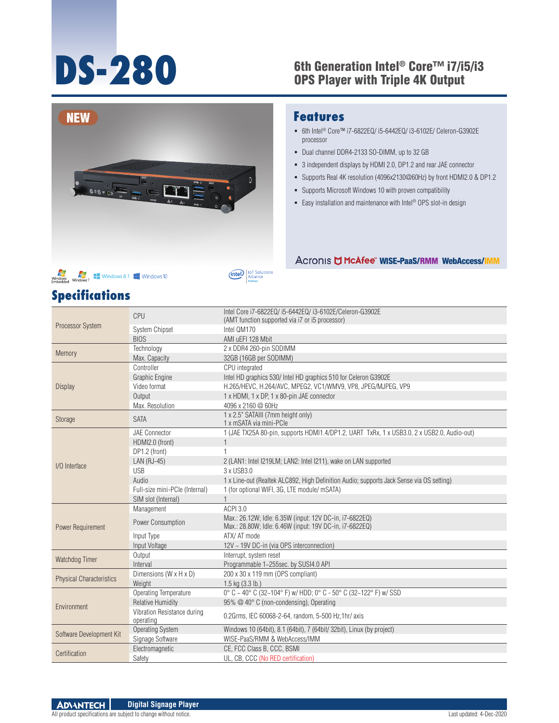### **DS-280** 6th Generation Intel® Core™ i7/i5/i3<br>OPS Player with Triple 4K Output OPS Player with Triple 4K Output



#### **Features**

Intel Core i7-6822EQ/ i5-6442EQ/ i3-6102E/Celeron-G3902E

(AMT function supported via i7 or i5 processor)

- 6th Intel® Core™ i7-6822EQ/ i5-6442EQ/ i3-6102E/ Celeron-G3902E processor
- Dual channel DDR4-2133 SO-DIMM, up to 32 GB
- 3 independent displays by HDMI 2.0, DP1.2 and rear JAE connector
- Supports Real 4K resolution (4096x2130@60Hz) by front HDMI2.0 & DP1.2
- Supports Microsoft Windows 10 with proven compatibility
- Easy installation and maintenance with Intel<sup>®</sup> OPS slot-in design



**Specifications**

#### Acronis D McAfee" WISE-PaaS/RMM WebAccess/IMM

|                         | CPU                   |
|-------------------------|-----------------------|
| <b>Processor System</b> | <b>System Chipset</b> |
|                         | <b>BIOS</b>           |
|                         | Technology            |
| Memory                  | Max. Capacity         |
|                         | Controller            |
|                         | Graphic Engine        |

| <b>BIOS</b><br>AMI uEFI 128 Mbit<br>2 x DDR4 260-pin SODIMM<br>Technology<br>Memory<br>32GB (16GB per SODIMM)<br>Max. Capacity<br>CPU integrated<br>Controller<br>Intel HD graphics 530/ Intel HD graphics 510 for Celeron G3902E<br>Graphic Engine<br>Video format<br>H.265/HEVC, H.264/AVC, MPEG2, VC1/WMV9, VP8, JPEG/MJPEG, VP9<br><b>Display</b><br>1 x HDMI, 1 x DP, 1 x 80-pin JAE connector<br>Output<br>4096 x 2160 @ 60Hz<br>Max. Resolution<br>1 x 2.5" SATAIII (7mm height only)<br><b>SATA</b><br>Storage<br>1 x mSATA via mini-PCle<br>1 (JAE TX25A 80-pin, supports HDMI1.4/DP1.2, UART TxRx, 1 x USB3.0, 2 x USB2.0, Audio-out)<br><b>JAE</b> Connector<br>HDMI2.0 (front)<br>1<br>DP1.2 (front)<br>LAN (RJ-45)<br>2 (LAN1: Intel I219LM; LAN2: Intel I211), wake on LAN supported<br>I/O Interface<br><b>USB</b><br>3 x USB3.0<br>1 x Line-out (Realtek ALC892, High Definition Audio; supports Jack Sense via OS setting)<br>Audio<br>Full-size mini-PCle (Internal)<br>1 (for optional WIFI, 3G, LTE module/ mSATA)<br>SIM slot (Internal)<br>1<br><b>ACPI 3.0</b><br>Management<br>Max.: 26.12W; Idle: 6.35W (input: 12V DC-in, i7-6822EQ)<br>Power Consumption<br>Max.: 28.80W; Idle: 6.46W (input: 19V DC-in, i7-6822EQ)<br>Power Requirement<br>Input Type<br>ATX/ AT mode<br>12V ~ 19V DC-in (via OPS interconnection)<br>Input Voltage<br>Output<br>Interrupt, system reset<br>Watchdog Timer<br>Programmable 1~255sec. by SUSI4.0 API<br>Interval<br>Dimensions (W x H x D)<br>200 x 30 x 119 mm (OPS compliant)<br><b>Physical Characteristics</b><br>Weight<br>$1.5$ kg $(3.3)$ lb.)<br>$0^{\circ}$ C ~ 40° C (32~104° F) w/ HDD; 0° C - 50° C (32~122° F) w/ SSD<br>Operating Temperature<br><b>Relative Humidity</b><br>95% @ 40° C (non-condensing), Operating<br>Environment<br>Vibration Resistance during<br>0.2Grms, IEC 60068-2-64, random, 5-500 Hz, 1hr/ axis<br>operating<br>Windows 10 (64bit), 8.1 (64bit), 7 (64bit/ 32bit), Linux (by project)<br><b>Operating System</b><br>Software Development Kit<br>Signage Software<br>WISE-PaaS/RMM & WebAccess/IMM<br>Electromagnetic<br>CE, FCC Class B, CCC, BSMI<br>Certification<br>UL, CB, CCC (No RED certification)<br>Safety | LINCESSUL OVSIBILI | <b>System Chipset</b> | Intel QM170 |
|-------------------------------------------------------------------------------------------------------------------------------------------------------------------------------------------------------------------------------------------------------------------------------------------------------------------------------------------------------------------------------------------------------------------------------------------------------------------------------------------------------------------------------------------------------------------------------------------------------------------------------------------------------------------------------------------------------------------------------------------------------------------------------------------------------------------------------------------------------------------------------------------------------------------------------------------------------------------------------------------------------------------------------------------------------------------------------------------------------------------------------------------------------------------------------------------------------------------------------------------------------------------------------------------------------------------------------------------------------------------------------------------------------------------------------------------------------------------------------------------------------------------------------------------------------------------------------------------------------------------------------------------------------------------------------------------------------------------------------------------------------------------------------------------------------------------------------------------------------------------------------------------------------------------------------------------------------------------------------------------------------------------------------------------------------------------------------------------------------------------------------------------------------------------------------------------------------------------------|--------------------|-----------------------|-------------|
|                                                                                                                                                                                                                                                                                                                                                                                                                                                                                                                                                                                                                                                                                                                                                                                                                                                                                                                                                                                                                                                                                                                                                                                                                                                                                                                                                                                                                                                                                                                                                                                                                                                                                                                                                                                                                                                                                                                                                                                                                                                                                                                                                                                                                         |                    |                       |             |
|                                                                                                                                                                                                                                                                                                                                                                                                                                                                                                                                                                                                                                                                                                                                                                                                                                                                                                                                                                                                                                                                                                                                                                                                                                                                                                                                                                                                                                                                                                                                                                                                                                                                                                                                                                                                                                                                                                                                                                                                                                                                                                                                                                                                                         |                    |                       |             |
|                                                                                                                                                                                                                                                                                                                                                                                                                                                                                                                                                                                                                                                                                                                                                                                                                                                                                                                                                                                                                                                                                                                                                                                                                                                                                                                                                                                                                                                                                                                                                                                                                                                                                                                                                                                                                                                                                                                                                                                                                                                                                                                                                                                                                         |                    |                       |             |
|                                                                                                                                                                                                                                                                                                                                                                                                                                                                                                                                                                                                                                                                                                                                                                                                                                                                                                                                                                                                                                                                                                                                                                                                                                                                                                                                                                                                                                                                                                                                                                                                                                                                                                                                                                                                                                                                                                                                                                                                                                                                                                                                                                                                                         |                    |                       |             |
|                                                                                                                                                                                                                                                                                                                                                                                                                                                                                                                                                                                                                                                                                                                                                                                                                                                                                                                                                                                                                                                                                                                                                                                                                                                                                                                                                                                                                                                                                                                                                                                                                                                                                                                                                                                                                                                                                                                                                                                                                                                                                                                                                                                                                         |                    |                       |             |
|                                                                                                                                                                                                                                                                                                                                                                                                                                                                                                                                                                                                                                                                                                                                                                                                                                                                                                                                                                                                                                                                                                                                                                                                                                                                                                                                                                                                                                                                                                                                                                                                                                                                                                                                                                                                                                                                                                                                                                                                                                                                                                                                                                                                                         |                    |                       |             |
|                                                                                                                                                                                                                                                                                                                                                                                                                                                                                                                                                                                                                                                                                                                                                                                                                                                                                                                                                                                                                                                                                                                                                                                                                                                                                                                                                                                                                                                                                                                                                                                                                                                                                                                                                                                                                                                                                                                                                                                                                                                                                                                                                                                                                         |                    |                       |             |
|                                                                                                                                                                                                                                                                                                                                                                                                                                                                                                                                                                                                                                                                                                                                                                                                                                                                                                                                                                                                                                                                                                                                                                                                                                                                                                                                                                                                                                                                                                                                                                                                                                                                                                                                                                                                                                                                                                                                                                                                                                                                                                                                                                                                                         |                    |                       |             |
|                                                                                                                                                                                                                                                                                                                                                                                                                                                                                                                                                                                                                                                                                                                                                                                                                                                                                                                                                                                                                                                                                                                                                                                                                                                                                                                                                                                                                                                                                                                                                                                                                                                                                                                                                                                                                                                                                                                                                                                                                                                                                                                                                                                                                         |                    |                       |             |
|                                                                                                                                                                                                                                                                                                                                                                                                                                                                                                                                                                                                                                                                                                                                                                                                                                                                                                                                                                                                                                                                                                                                                                                                                                                                                                                                                                                                                                                                                                                                                                                                                                                                                                                                                                                                                                                                                                                                                                                                                                                                                                                                                                                                                         |                    |                       |             |
|                                                                                                                                                                                                                                                                                                                                                                                                                                                                                                                                                                                                                                                                                                                                                                                                                                                                                                                                                                                                                                                                                                                                                                                                                                                                                                                                                                                                                                                                                                                                                                                                                                                                                                                                                                                                                                                                                                                                                                                                                                                                                                                                                                                                                         |                    |                       |             |
|                                                                                                                                                                                                                                                                                                                                                                                                                                                                                                                                                                                                                                                                                                                                                                                                                                                                                                                                                                                                                                                                                                                                                                                                                                                                                                                                                                                                                                                                                                                                                                                                                                                                                                                                                                                                                                                                                                                                                                                                                                                                                                                                                                                                                         |                    |                       |             |
|                                                                                                                                                                                                                                                                                                                                                                                                                                                                                                                                                                                                                                                                                                                                                                                                                                                                                                                                                                                                                                                                                                                                                                                                                                                                                                                                                                                                                                                                                                                                                                                                                                                                                                                                                                                                                                                                                                                                                                                                                                                                                                                                                                                                                         |                    |                       |             |
|                                                                                                                                                                                                                                                                                                                                                                                                                                                                                                                                                                                                                                                                                                                                                                                                                                                                                                                                                                                                                                                                                                                                                                                                                                                                                                                                                                                                                                                                                                                                                                                                                                                                                                                                                                                                                                                                                                                                                                                                                                                                                                                                                                                                                         |                    |                       |             |
|                                                                                                                                                                                                                                                                                                                                                                                                                                                                                                                                                                                                                                                                                                                                                                                                                                                                                                                                                                                                                                                                                                                                                                                                                                                                                                                                                                                                                                                                                                                                                                                                                                                                                                                                                                                                                                                                                                                                                                                                                                                                                                                                                                                                                         |                    |                       |             |
|                                                                                                                                                                                                                                                                                                                                                                                                                                                                                                                                                                                                                                                                                                                                                                                                                                                                                                                                                                                                                                                                                                                                                                                                                                                                                                                                                                                                                                                                                                                                                                                                                                                                                                                                                                                                                                                                                                                                                                                                                                                                                                                                                                                                                         |                    |                       |             |
|                                                                                                                                                                                                                                                                                                                                                                                                                                                                                                                                                                                                                                                                                                                                                                                                                                                                                                                                                                                                                                                                                                                                                                                                                                                                                                                                                                                                                                                                                                                                                                                                                                                                                                                                                                                                                                                                                                                                                                                                                                                                                                                                                                                                                         |                    |                       |             |
|                                                                                                                                                                                                                                                                                                                                                                                                                                                                                                                                                                                                                                                                                                                                                                                                                                                                                                                                                                                                                                                                                                                                                                                                                                                                                                                                                                                                                                                                                                                                                                                                                                                                                                                                                                                                                                                                                                                                                                                                                                                                                                                                                                                                                         |                    |                       |             |
|                                                                                                                                                                                                                                                                                                                                                                                                                                                                                                                                                                                                                                                                                                                                                                                                                                                                                                                                                                                                                                                                                                                                                                                                                                                                                                                                                                                                                                                                                                                                                                                                                                                                                                                                                                                                                                                                                                                                                                                                                                                                                                                                                                                                                         |                    |                       |             |
|                                                                                                                                                                                                                                                                                                                                                                                                                                                                                                                                                                                                                                                                                                                                                                                                                                                                                                                                                                                                                                                                                                                                                                                                                                                                                                                                                                                                                                                                                                                                                                                                                                                                                                                                                                                                                                                                                                                                                                                                                                                                                                                                                                                                                         |                    |                       |             |
|                                                                                                                                                                                                                                                                                                                                                                                                                                                                                                                                                                                                                                                                                                                                                                                                                                                                                                                                                                                                                                                                                                                                                                                                                                                                                                                                                                                                                                                                                                                                                                                                                                                                                                                                                                                                                                                                                                                                                                                                                                                                                                                                                                                                                         |                    |                       |             |
|                                                                                                                                                                                                                                                                                                                                                                                                                                                                                                                                                                                                                                                                                                                                                                                                                                                                                                                                                                                                                                                                                                                                                                                                                                                                                                                                                                                                                                                                                                                                                                                                                                                                                                                                                                                                                                                                                                                                                                                                                                                                                                                                                                                                                         |                    |                       |             |
|                                                                                                                                                                                                                                                                                                                                                                                                                                                                                                                                                                                                                                                                                                                                                                                                                                                                                                                                                                                                                                                                                                                                                                                                                                                                                                                                                                                                                                                                                                                                                                                                                                                                                                                                                                                                                                                                                                                                                                                                                                                                                                                                                                                                                         |                    |                       |             |
|                                                                                                                                                                                                                                                                                                                                                                                                                                                                                                                                                                                                                                                                                                                                                                                                                                                                                                                                                                                                                                                                                                                                                                                                                                                                                                                                                                                                                                                                                                                                                                                                                                                                                                                                                                                                                                                                                                                                                                                                                                                                                                                                                                                                                         |                    |                       |             |
|                                                                                                                                                                                                                                                                                                                                                                                                                                                                                                                                                                                                                                                                                                                                                                                                                                                                                                                                                                                                                                                                                                                                                                                                                                                                                                                                                                                                                                                                                                                                                                                                                                                                                                                                                                                                                                                                                                                                                                                                                                                                                                                                                                                                                         |                    |                       |             |
|                                                                                                                                                                                                                                                                                                                                                                                                                                                                                                                                                                                                                                                                                                                                                                                                                                                                                                                                                                                                                                                                                                                                                                                                                                                                                                                                                                                                                                                                                                                                                                                                                                                                                                                                                                                                                                                                                                                                                                                                                                                                                                                                                                                                                         |                    |                       |             |
|                                                                                                                                                                                                                                                                                                                                                                                                                                                                                                                                                                                                                                                                                                                                                                                                                                                                                                                                                                                                                                                                                                                                                                                                                                                                                                                                                                                                                                                                                                                                                                                                                                                                                                                                                                                                                                                                                                                                                                                                                                                                                                                                                                                                                         |                    |                       |             |
|                                                                                                                                                                                                                                                                                                                                                                                                                                                                                                                                                                                                                                                                                                                                                                                                                                                                                                                                                                                                                                                                                                                                                                                                                                                                                                                                                                                                                                                                                                                                                                                                                                                                                                                                                                                                                                                                                                                                                                                                                                                                                                                                                                                                                         |                    |                       |             |
|                                                                                                                                                                                                                                                                                                                                                                                                                                                                                                                                                                                                                                                                                                                                                                                                                                                                                                                                                                                                                                                                                                                                                                                                                                                                                                                                                                                                                                                                                                                                                                                                                                                                                                                                                                                                                                                                                                                                                                                                                                                                                                                                                                                                                         |                    |                       |             |
|                                                                                                                                                                                                                                                                                                                                                                                                                                                                                                                                                                                                                                                                                                                                                                                                                                                                                                                                                                                                                                                                                                                                                                                                                                                                                                                                                                                                                                                                                                                                                                                                                                                                                                                                                                                                                                                                                                                                                                                                                                                                                                                                                                                                                         |                    |                       |             |
|                                                                                                                                                                                                                                                                                                                                                                                                                                                                                                                                                                                                                                                                                                                                                                                                                                                                                                                                                                                                                                                                                                                                                                                                                                                                                                                                                                                                                                                                                                                                                                                                                                                                                                                                                                                                                                                                                                                                                                                                                                                                                                                                                                                                                         |                    |                       |             |
|                                                                                                                                                                                                                                                                                                                                                                                                                                                                                                                                                                                                                                                                                                                                                                                                                                                                                                                                                                                                                                                                                                                                                                                                                                                                                                                                                                                                                                                                                                                                                                                                                                                                                                                                                                                                                                                                                                                                                                                                                                                                                                                                                                                                                         |                    |                       |             |